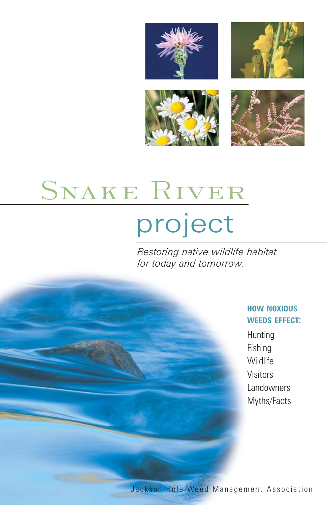



# SNAKE RIVER

# project

*Restoring native wildlife habitat for today and tomorrow.*

#### **HOW NOXIOUS WEEDS EFFECT:**

Hunting Fishing **Wildlife** Visitors Landowners Myths/Facts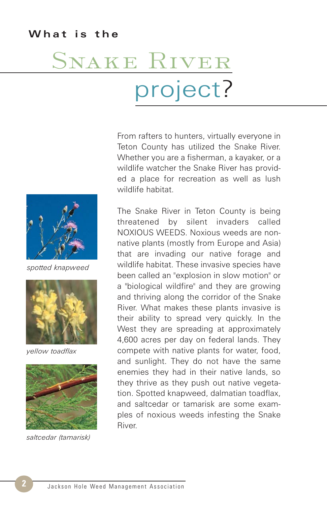#### **What is the**

# SNAKE RIVER project?

From rafters to hunters, virtually everyone in Teton County has utilized the Snake River. Whether you are a fisherman, a kayaker, or a wildlife watcher the Snake River has provided a place for recreation as well as lush wildlife habitat.

The Snake River in Teton County is being threatened by silent invaders called NOXIOUS WEEDS. Noxious weeds are nonnative plants (mostly from Europe and Asia) that are invading our native forage and wildlife habitat. These invasive species have been called an "explosion in slow motion" or a "biological wildfire" and they are growing and thriving along the corridor of the Snake River. What makes these plants invasive is their ability to spread very quickly. In the West they are spreading at approximately 4,600 acres per day on federal lands. They compete with native plants for water, food, and sunlight. They do not have the same enemies they had in their native lands, so they thrive as they push out native vegetation. Spotted knapweed, dalmatian toadflax, and saltcedar or tamarisk are some examples of noxious weeds infesting the Snake River.



*spotted knapweed*



*yellow toadflax*



*saltcedar (tamarisk)*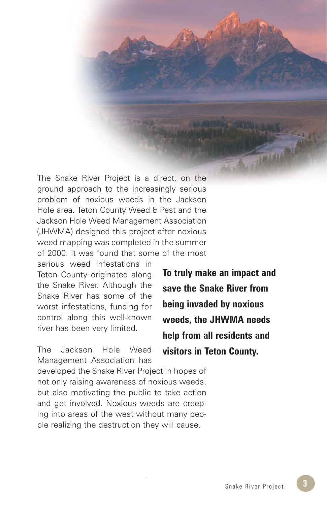The Snake River Project is a direct, on the ground approach to the increasingly serious problem of noxious weeds in the Jackson Hole area. Teton County Weed & Pest and the Jackson Hole Weed Management Association (JHWMA) designed this project after noxious weed mapping was completed in the summer of 2000. It was found that some of the most

serious weed infestations in Teton County originated along the Snake River. Although the Snake River has some of the worst infestations, funding for control along this well-known river has been very limited.

The Jackson Hole Weed Management Association has

**To truly make an impact and save the Snake River from being invaded by noxious weeds, the JHWMA needs help from all residents and visitors in Teton County.**

**London** 

developed the Snake River Project in hopes of not only raising awareness of noxious weeds, but also motivating the public to take action and get involved. Noxious weeds are creeping into areas of the west without many people realizing the destruction they will cause.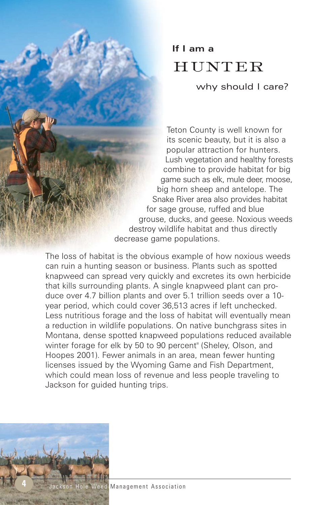## **If I am a** hunter

why should I care?

Teton County is well known for its scenic beauty, but it is also a popular attraction for hunters. Lush vegetation and healthy forests combine to provide habitat for big game such as elk, mule deer, moose, big horn sheep and antelope. The Snake River area also provides habitat for sage grouse, ruffed and blue grouse, ducks, and geese. Noxious weeds destroy wildlife habitat and thus directly decrease game populations.

The loss of habitat is the obvious example of how noxious weeds can ruin a hunting season or business. Plants such as spotted knapweed can spread very quickly and excretes its own herbicide that kills surrounding plants. A single knapweed plant can produce over 4.7 billion plants and over 5.1 trillion seeds over a 10 year period, which could cover 36,513 acres if left unchecked. Less nutritious forage and the loss of habitat will eventually mean a reduction in wildlife populations. On native bunchgrass sites in Montana, dense spotted knapweed populations reduced available winter forage for elk by 50 to 90 percent" (Sheley, Olson, and Hoopes 2001). Fewer animals in an area, mean fewer hunting licenses issued by the Wyoming Game and Fish Department, which could mean loss of revenue and less people traveling to Jackson for guided hunting trips.

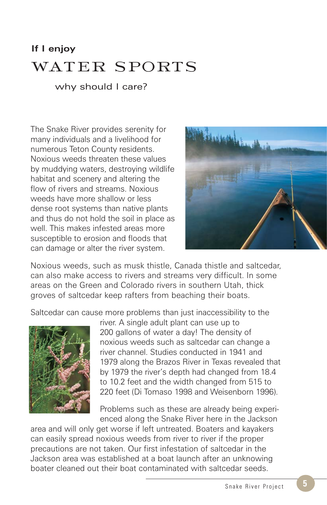### **If I enjoy** water sports

why should I care?

The Snake River provides serenity for many individuals and a livelihood for numerous Teton County residents. Noxious weeds threaten these values by muddying waters, destroying wildlife habitat and scenery and altering the flow of rivers and streams. Noxious weeds have more shallow or less dense root systems than native plants and thus do not hold the soil in place as well. This makes infested areas more susceptible to erosion and floods that can damage or alter the river system.



Noxious weeds, such as musk thistle, Canada thistle and saltcedar, can also make access to rivers and streams very difficult. In some areas on the Green and Colorado rivers in southern Utah, thick groves of saltcedar keep rafters from beaching their boats.

Saltcedar can cause more problems than just inaccessibility to the



river. A single adult plant can use up to 200 gallons of water a day! The density of noxious weeds such as saltcedar can change a river channel. Studies conducted in 1941 and 1979 along the Brazos River in Texas revealed that by 1979 the river's depth had changed from 18.4 to 10.2 feet and the width changed from 515 to 220 feet (Di Tomaso 1998 and Weisenborn 1996).

Problems such as these are already being experienced along the Snake River here in the Jackson

area and will only get worse if left untreated. Boaters and kayakers can easily spread noxious weeds from river to river if the proper precautions are not taken. Our first infestation of saltcedar in the Jackson area was established at a boat launch after an unknowing boater cleaned out their boat contaminated with saltcedar seeds.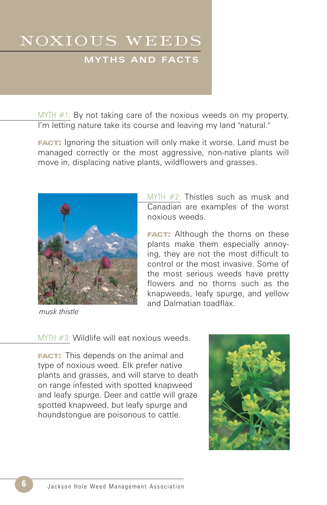# noxious weeds

#### **MYTHS AND FACTS**

MYTH #1: By not taking care of the noxious weeds on my property, I'm letting nature take its course and leaving my land "natural."

**FACT:** Ignoring the situation will only make it worse. Land must be managed correctly or the most aggressive, non-native plants will move in, displacing native plants, wildflowers and grasses.



*musk thistle*

MYTH #2: Thistles such as musk and Canadian are examples of the worst noxious weeds.

**FACT:** Although the thorns on these plants make them especially annoying, they are not the most difficult to control or the most invasive. Some of the most serious weeds have pretty flowers and no thorns such as the knapweeds, leafy spurge, and yellow and Dalmatian toadflax.

MYTH #3: Wildlife will eat noxious weeds.

**FACT:** This depends on the animal and type of noxious weed. Elk prefer native plants and grasses, and will starve to death on range infested with spotted knapweed and leafy spurge. Deer and cattle will graze spotted knapweed, but leafy spurge and houndstongue are poisonous to cattle.

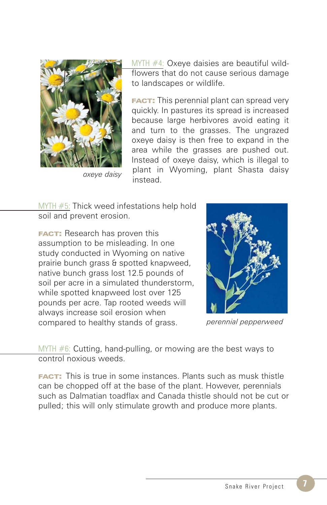

*oxeye daisy*

MYTH #4: Oxeye daisies are beautiful wildflowers that do not cause serious damage to landscapes or wildlife.

**FACT:** This perennial plant can spread very quickly. In pastures its spread is increased because large herbivores avoid eating it and turn to the grasses. The ungrazed oxeye daisy is then free to expand in the area while the grasses are pushed out. Instead of oxeye daisy, which is illegal to plant in Wyoming, plant Shasta daisy instead.

MYTH #5: Thick weed infestations help hold soil and prevent erosion.

**FACT:** Research has proven this assumption to be misleading. In one study conducted in Wyoming on native prairie bunch grass & spotted knapweed, native bunch grass lost 12.5 pounds of soil per acre in a simulated thunderstorm, while spotted knapweed lost over 125 pounds per acre. Tap rooted weeds will always increase soil erosion when compared to healthy stands of grass.



*perennial pepperweed*

MYTH  $#6$ : Cutting, hand-pulling, or mowing are the best ways to control noxious weeds.

**FACT:** This is true in some instances. Plants such as musk thistle can be chopped off at the base of the plant. However, perennials such as Dalmatian toadflax and Canada thistle should not be cut or pulled; this will only stimulate growth and produce more plants.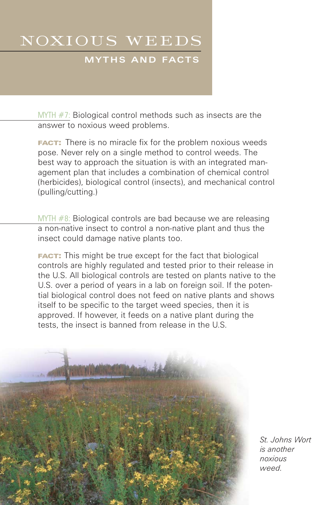## noxious weeds

#### **MYTHS AND FACTS**

MYTH #7: Biological control methods such as insects are the answer to noxious weed problems.

**FACT:** There is no miracle fix for the problem noxious weeds pose. Never rely on a single method to control weeds. The best way to approach the situation is with an integrated management plan that includes a combination of chemical control (herbicides), biological control (insects), and mechanical control (pulling/cutting.)

MYTH #8: Biological controls are bad because we are releasing a non-native insect to control a non-native plant and thus the insect could damage native plants too.

**FACT:** This might be true except for the fact that biological controls are highly regulated and tested prior to their release in the U.S. All biological controls are tested on plants native to the U.S. over a period of years in a lab on foreign soil. If the potential biological control does not feed on native plants and shows itself to be specific to the target weed species, then it is approved. If however, it feeds on a native plant during the tests, the insect is banned from release in the U.S.

**8 Jackson Hole Weed Management Association** *leafy spurge*

*St. Johns Wort is another noxious weed.*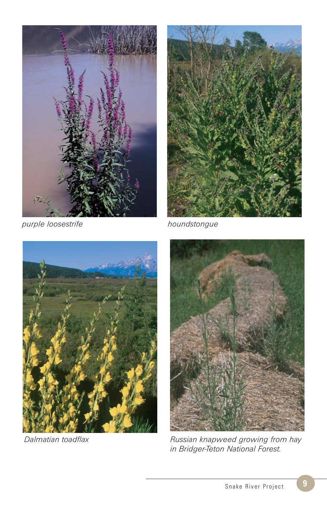

*purple loosestrife houndstongue*







*Dalmatian toadflax Russian knapweed growing from hay in Bridger-Teton National Forest.*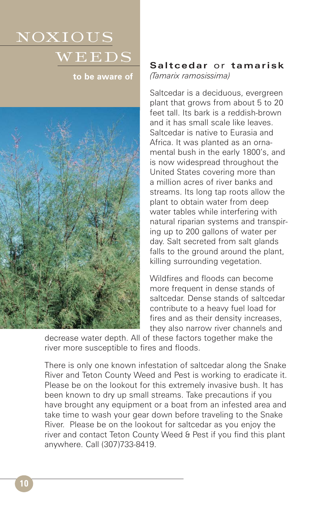# noxious  $WEEDS$

**to be aware of** 



#### **Saltcedar** or **tamarisk** *(Tamarix ramosissima)*

Saltcedar is a deciduous, evergreen plant that grows from about 5 to 20 feet tall. Its bark is a reddish-brown and it has small scale like leaves. Saltcedar is native to Eurasia and Africa. It was planted as an ornamental bush in the early 1800's, and is now widespread throughout the United States covering more than a million acres of river banks and streams. Its long tap roots allow the plant to obtain water from deep water tables while interfering with natural riparian systems and transpiring up to 200 gallons of water per day. Salt secreted from salt glands falls to the ground around the plant, killing surrounding vegetation.

Wildfires and floods can become more frequent in dense stands of saltcedar. Dense stands of saltcedar contribute to a heavy fuel load for fires and as their density increases, they also narrow river channels and

decrease water depth. All of these factors together make the river more susceptible to fires and floods.

There is only one known infestation of saltcedar along the Snake River and Teton County Weed and Pest is working to eradicate it. Please be on the lookout for this extremely invasive bush. It has been known to dry up small streams. Take precautions if you have brought any equipment or a boat from an infested area and take time to wash your gear down before traveling to the Snake River. Please be on the lookout for saltcedar as you enjoy the river and contact Teton County Weed & Pest if you find this plant anywhere. Call (307)733-8419.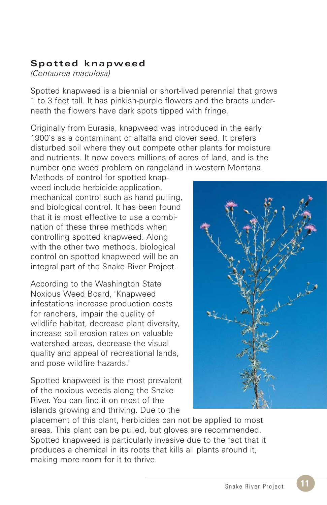#### **Spotted knapweed**

*(Centaurea maculosa)*

Spotted knapweed is a biennial or short-lived perennial that grows 1 to 3 feet tall. It has pinkish-purple flowers and the bracts underneath the flowers have dark spots tipped with fringe.

Originally from Eurasia, knapweed was introduced in the early 1900's as a contaminant of alfalfa and clover seed. It prefers disturbed soil where they out compete other plants for moisture and nutrients. It now covers millions of acres of land, and is the number one weed problem on rangeland in western Montana.

Methods of control for spotted knapweed include herbicide application, mechanical control such as hand pulling, and biological control. It has been found that it is most effective to use a combination of these three methods when controlling spotted knapweed. Along with the other two methods, biological control on spotted knapweed will be an integral part of the Snake River Project.

According to the Washington State Noxious Weed Board, "Knapweed infestations increase production costs for ranchers, impair the quality of wildlife habitat, decrease plant diversity, increase soil erosion rates on valuable watershed areas, decrease the visual quality and appeal of recreational lands, and pose wildfire hazards."

Spotted knapweed is the most prevalent of the noxious weeds along the Snake River. You can find it on most of the islands growing and thriving. Due to the

سليمليله

placement of this plant, herbicides can not be applied to most areas. This plant can be pulled, but gloves are recommended. Spotted knapweed is particularly invasive due to the fact that it produces a chemical in its roots that kills all plants around it, making more room for it to thrive.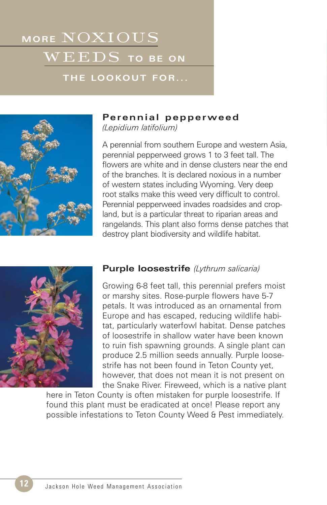# **MORE** noxious  $WEEDS$  to be on

#### **THE LOOKOUT FOR...**



#### **Perennial pepperweed**

*(Lepidium latifolium)*

A perennial from southern Europe and western Asia, perennial pepperweed grows 1 to 3 feet tall. The flowers are white and in dense clusters near the end of the branches. It is declared noxious in a number of western states including Wyoming. Very deep root stalks make this weed very difficult to control. Perennial pepperweed invades roadsides and cropland, but is a particular threat to riparian areas and rangelands. This plant also forms dense patches that destroy plant biodiversity and wildlife habitat.



#### **Purple loosestrife** *(Lythrum salicaria)*

Growing 6-8 feet tall, this perennial prefers moist or marshy sites. Rose-purple flowers have 5-7 petals. It was introduced as an ornamental from Europe and has escaped, reducing wildlife habitat, particularly waterfowl habitat. Dense patches of loosestrife in shallow water have been known to ruin fish spawning grounds. A single plant can produce 2.5 million seeds annually. Purple loosestrife has not been found in Teton County yet, however, that does not mean it is not present on the Snake River. Fireweed, which is a native plant

here in Teton County is often mistaken for purple loosestrife. If found this plant must be eradicated at once! Please report any possible infestations to Teton County Weed & Pest immediately.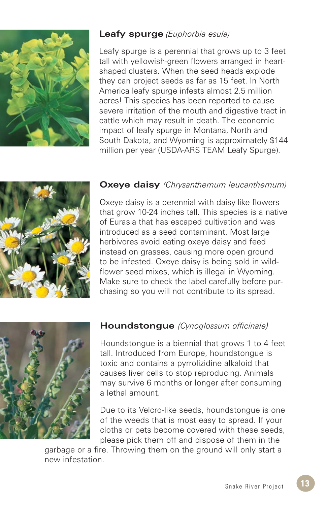

#### **Leafy spurge** *(Euphorbia esula)*

Leafy spurge is a perennial that grows up to 3 feet tall with yellowish-green flowers arranged in heartshaped clusters. When the seed heads explode they can project seeds as far as 15 feet. In North America leafy spurge infests almost 2.5 million acres! This species has been reported to cause severe irritation of the mouth and digestive tract in cattle which may result in death. The economic impact of leafy spurge in Montana, North and South Dakota, and Wyoming is approximately \$144 million per year (USDA-ARS TEAM Leafy Spurge).



#### **Oxeye daisy** *(Chrysanthemum leucanthemum)*

Oxeye daisy is a perennial with daisy-like flowers that grow 10-24 inches tall. This species is a native of Eurasia that has escaped cultivation and was introduced as a seed contaminant. Most large herbivores avoid eating oxeye daisy and feed instead on grasses, causing more open ground to be infested. Oxeye daisy is being sold in wildflower seed mixes, which is illegal in Wyoming. Make sure to check the label carefully before purchasing so you will not contribute to its spread.



#### **Houndstongue** *(Cynoglossum officinale)*

Houndstongue is a biennial that grows 1 to 4 feet tall. Introduced from Europe, houndstongue is toxic and contains a pyrrolizidine alkaloid that causes liver cells to stop reproducing. Animals may survive 6 months or longer after consuming a lethal amount.

Due to its Velcro-like seeds, houndstongue is one of the weeds that is most easy to spread. If your cloths or pets become covered with these seeds, please pick them off and dispose of them in the

garbage or a fire. Throwing them on the ground will only start a new infestation.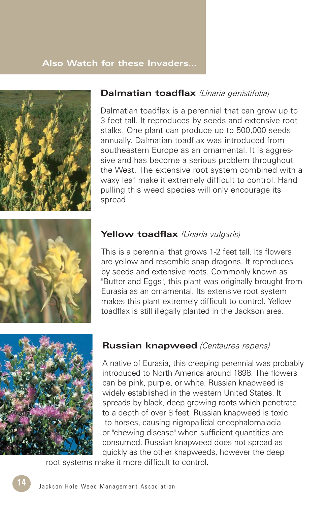#### **Also Watch for these Invaders…**



#### **Dalmatian toadflax** *(Linaria genistifolia)*

Dalmatian toadflax is a perennial that can grow up to 3 feet tall. It reproduces by seeds and extensive root stalks. One plant can produce up to 500,000 seeds annually. Dalmatian toadflax was introduced from southeastern Europe as an ornamental. It is aggressive and has become a serious problem throughout the West. The extensive root system combined with a waxy leaf make it extremely difficult to control. Hand pulling this weed species will only encourage its spread.



#### **Yellow toadflax** *(Linaria vulgaris)*

This is a perennial that grows 1-2 feet tall. Its flowers are yellow and resemble snap dragons. It reproduces by seeds and extensive roots. Commonly known as "Butter and Eggs", this plant was originally brought from Eurasia as an ornamental. Its extensive root system makes this plant extremely difficult to control. Yellow toadflax is still illegally planted in the Jackson area.



#### **Russian knapweed** *(Centaurea repens)*

A native of Eurasia, this creeping perennial was probably introduced to North America around 1898. The flowers can be pink, purple, or white. Russian knapweed is widely established in the western United States. It spreads by black, deep growing roots which penetrate to a depth of over 8 feet. Russian knapweed is toxic to horses, causing nigropallidal encephalomalacia or "chewing disease" when sufficient quantities are consumed. Russian knapweed does not spread as quickly as the other knapweeds, however the deep

root systems make it more difficult to control.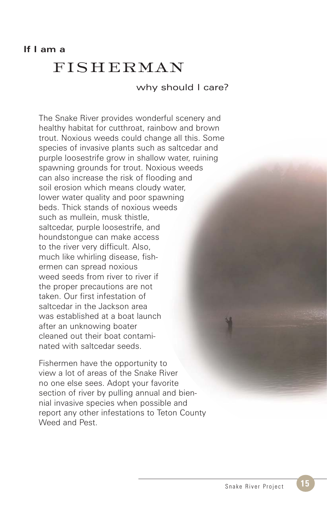### fisherman

why should I care?

The Snake River provides wonderful scenery and healthy habitat for cutthroat, rainbow and brown trout. Noxious weeds could change all this. Some species of invasive plants such as saltcedar and purple loosestrife grow in shallow water, ruining spawning grounds for trout. Noxious weeds can also increase the risk of flooding and soil erosion which means cloudy water, lower water quality and poor spawning beds. Thick stands of noxious weeds such as mullein, musk thistle, saltcedar, purple loosestrife, and houndstongue can make access to the river very difficult. Also, much like whirling disease, fishermen can spread noxious weed seeds from river to river if the proper precautions are not taken. Our first infestation of saltcedar in the Jackson area was established at a boat launch after an unknowing boater cleaned out their boat contaminated with saltcedar seeds.

Fishermen have the opportunity to view a lot of areas of the Snake River no one else sees. Adopt your favorite section of river by pulling annual and biennial invasive species when possible and report any other infestations to Teton County Weed and Pest.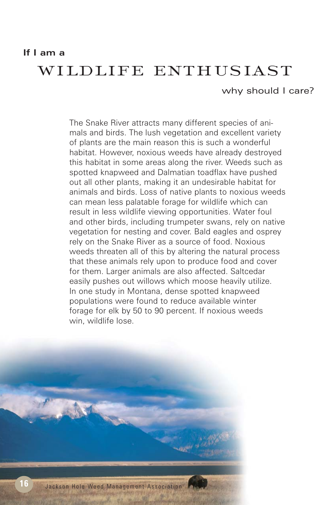#### **If I am a**

### wildlife enthusiast

#### why should I care?

The Snake River attracts many different species of animals and birds. The lush vegetation and excellent variety of plants are the main reason this is such a wonderful habitat. However, noxious weeds have already destroyed this habitat in some areas along the river. Weeds such as spotted knapweed and Dalmatian toadflax have pushed out all other plants, making it an undesirable habitat for animals and birds. Loss of native plants to noxious weeds can mean less palatable forage for wildlife which can result in less wildlife viewing opportunities. Water foul and other birds, including trumpeter swans, rely on native vegetation for nesting and cover. Bald eagles and osprey rely on the Snake River as a source of food. Noxious weeds threaten all of this by altering the natural process that these animals rely upon to produce food and cover for them. Larger animals are also affected. Saltcedar easily pushes out willows which moose heavily utilize. In one study in Montana, dense spotted knapweed populations were found to reduce available winter forage for elk by 50 to 90 percent. If noxious weeds win, wildlife lose.

**CALCULARY OF**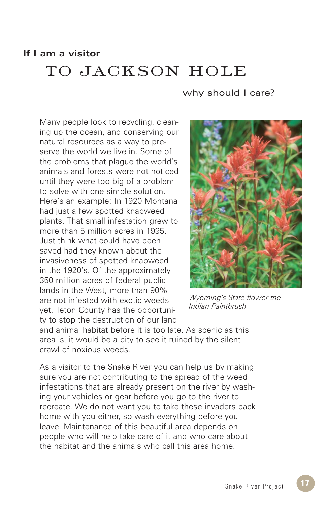#### **If I am a visitor**

## to jackson hole

#### why should I care?

Many people look to recycling, cleaning up the ocean, and conserving our natural resources as a way to preserve the world we live in. Some of the problems that plague the world's animals and forests were not noticed until they were too big of a problem to solve with one simple solution. Here's an example; In 1920 Montana had just a few spotted knapweed plants. That small infestation grew to more than 5 million acres in 1995. Just think what could have been saved had they known about the invasiveness of spotted knapweed in the 1920's. Of the approximately 350 million acres of federal public lands in the West, more than 90% are not infested with exotic weeds yet. Teton County has the opportunity to stop the destruction of our land



*Wyoming's State flower the Indian Paintbrush*

and animal habitat before it is too late. As scenic as this area is, it would be a pity to see it ruined by the silent crawl of noxious weeds.

As a visitor to the Snake River you can help us by making sure you are not contributing to the spread of the weed infestations that are already present on the river by washing your vehicles or gear before you go to the river to recreate. We do not want you to take these invaders back home with you either, so wash everything before you leave. Maintenance of this beautiful area depends on people who will help take care of it and who care about the habitat and the animals who call this area home.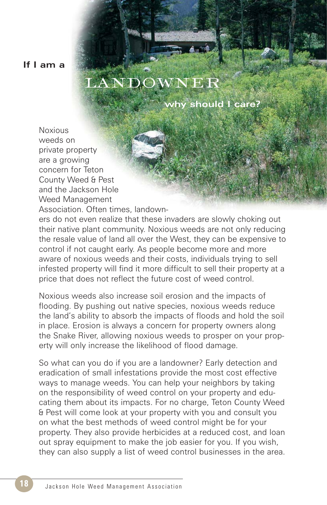**If I am a** 

# landowner

**why should I care?**

**Noxious** weeds on private property are a growing concern for Teton County Weed & Pest and the Jackson Hole Weed Management Association. Often times, landown-

ers do not even realize that these invaders are slowly choking out their native plant community. Noxious weeds are not only reducing the resale value of land all over the West, they can be expensive to control if not caught early. As people become more and more aware of noxious weeds and their costs, individuals trying to sell infested property will find it more difficult to sell their property at a price that does not reflect the future cost of weed control.

Noxious weeds also increase soil erosion and the impacts of flooding. By pushing out native species, noxious weeds reduce the land's ability to absorb the impacts of floods and hold the soil in place. Erosion is always a concern for property owners along the Snake River, allowing noxious weeds to prosper on your property will only increase the likelihood of flood damage.

So what can you do if you are a landowner? Early detection and eradication of small infestations provide the most cost effective ways to manage weeds. You can help your neighbors by taking on the responsibility of weed control on your property and educating them about its impacts. For no charge, Teton County Weed & Pest will come look at your property with you and consult you on what the best methods of weed control might be for your property. They also provide herbicides at a reduced cost, and loan out spray equipment to make the job easier for you. If you wish, they can also supply a list of weed control businesses in the area.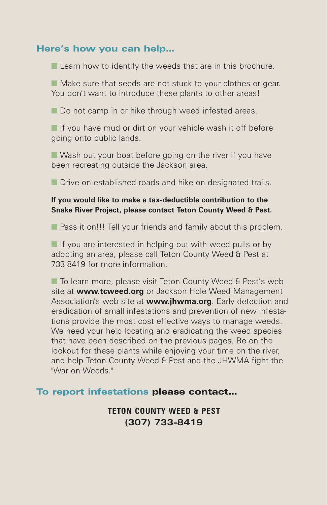#### Here's how you can help…

■ Learn how to identify the weeds that are in this brochure.

■ Make sure that seeds are not stuck to your clothes or gear. You don't want to introduce these plants to other areas!

■ Do not camp in or hike through weed infested areas.

■ If you have mud or dirt on your vehicle wash it off before going onto public lands.

■ Wash out your boat before going on the river if you have been recreating outside the Jackson area.

■ Drive on established roads and hike on designated trails.

#### **If you would like to make a tax-deductible contribution to the Snake River Project, please contact Teton County Weed & Pest.**

■ Pass it on!!! Tell your friends and family about this problem.

■ If you are interested in helping out with weed pulls or by adopting an area, please call Teton County Weed & Pest at 733-8419 for more information.

■ To learn more, please visit Teton County Weed & Pest's web site at **www.tcweed.org** or Jackson Hole Weed Management Association's web site at **www.jhwma.org**. Early detection and eradication of small infestations and prevention of new infestations provide the most cost effective ways to manage weeds. We need your help locating and eradicating the weed species that have been described on the previous pages. Be on the lookout for these plants while enjoying your time on the river, and help Teton County Weed & Pest and the JHWMA fight the "War on Weeds."

#### To report infestations please contact…

**TETON COUNTY WEED & PEST (307) 733-8419**